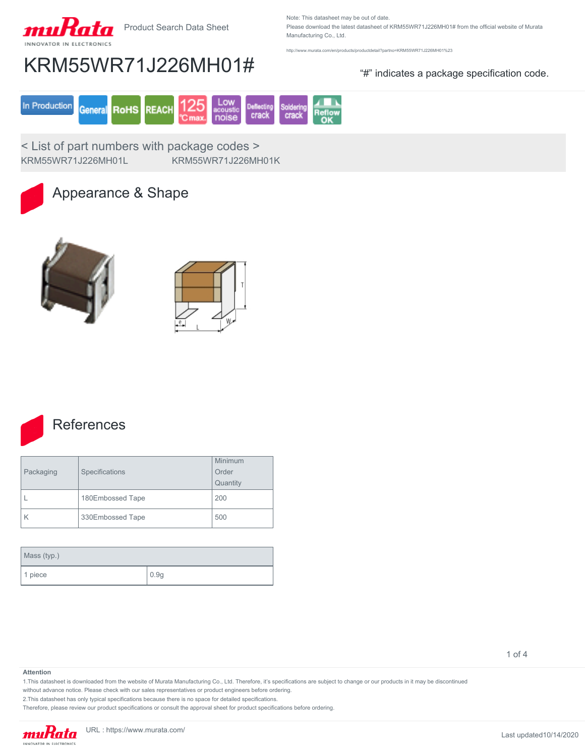

Product Search Data Sheet

Note: This datasheet may be out of date. Please download the latest datasheet of KRM55WR71J226MH01# from the official website of Murata

Manufacturing Co., Ltd.

<http://www.murata.com/en/products/productdetail?partno=KRM55WR71J226MH01%23>

## KRM55WR71J226MH01# "#" indicates a package specification code.



< List of part numbers with package codes > KRM55WR71J226MH01L KRM55WR71J226MH01K



### Appearance & Shape







### **References**

| Packaging | Specifications   | Minimum<br>Order<br>Quantity |
|-----------|------------------|------------------------------|
|           | 180Embossed Tape | 200                          |
|           | 330Embossed Tape | 500                          |

| Mass (typ.) |      |
|-------------|------|
| 1 piece     | 0.9g |

1 of 4

#### **Attention**

1.This datasheet is downloaded from the website of Murata Manufacturing Co., Ltd. Therefore, it's specifications are subject to change or our products in it may be discontinued

without advance notice. Please check with our sales representatives or product engineers before ordering.

2.This datasheet has only typical specifications because there is no space for detailed specifications.

Therefore, please review our product specifications or consult the approval sheet for product specifications before ordering.

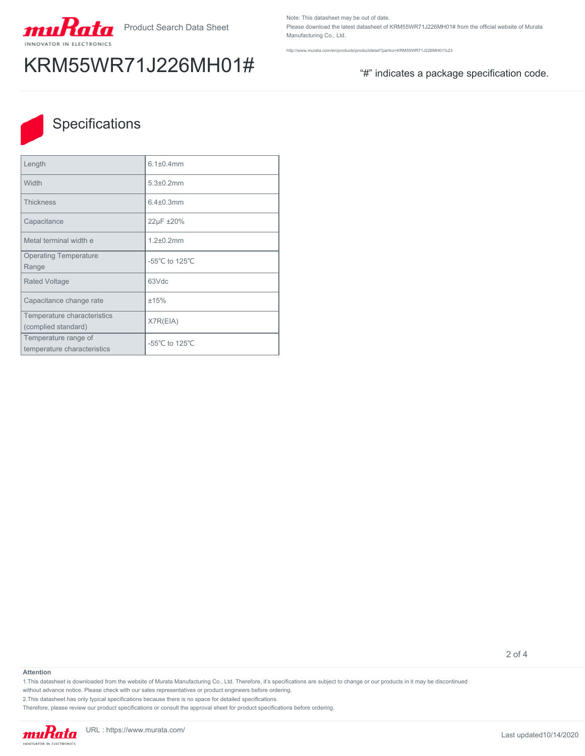

# KRM55WR71J226MH01# "#" indicates a package specification code.

Note: This datasheet may be out of date. Please download the latest datasheet of KRM55WR71J226MH01# from the official website of Murata Manufacturing Co., Ltd.

<http://www.murata.com/en/products/productdetail?partno=KRM55WR71J226MH01%23>



### **Specifications**

| Length                                              | $6.1 \pm 0.4$ mm |
|-----------------------------------------------------|------------------|
| Width                                               | $5.3 \pm 0.2$ mm |
| <b>Thickness</b>                                    | $6.4 \pm 0.3$ mm |
| Capacitance                                         | 22µF ±20%        |
| Metal terminal width e                              | $1.2 \pm 0.2$ mm |
| <b>Operating Temperature</b><br>Range               | -55°C to 125°C   |
| <b>Rated Voltage</b>                                | 63Vdc            |
| Capacitance change rate                             | ±15%             |
| Temperature characteristics<br>(complied standard)  | X7R(EIA)         |
| Temperature range of<br>temperature characteristics | -55°C to 125°C   |

2 of 4

#### **Attention**

1.This datasheet is downloaded from the website of Murata Manufacturing Co., Ltd. Therefore, it's specifications are subject to change or our products in it may be discontinued

without advance notice. Please check with our sales representatives or product engineers before ordering.

2.This datasheet has only typical specifications because there is no space for detailed specifications.

Therefore, please review our product specifications or consult the approval sheet for product specifications before ordering.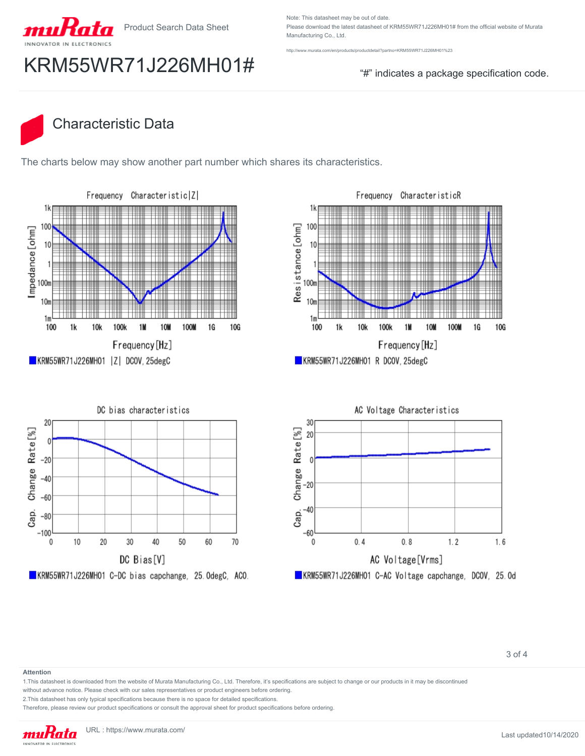

Product Search Data Sheet

Note: This datasheet may be out of date. Please download the latest datasheet of KRM55WR71J226MH01# from the official website of Murata Manufacturing Co., Ltd.

murata.com/en/products/productdetail?partno=KRM55WR71J226MH01%23

# $KRM55WR71J226MH01#$   $\qquad$   $\qquad$   $\qquad$   $\qquad$   $\qquad$   $\qquad$   $\qquad$   $\qquad$   $\qquad$   $\qquad$   $\qquad$   $\qquad$   $\qquad$   $\qquad$   $\qquad$   $\qquad$   $\qquad$   $\qquad$   $\qquad$   $\qquad$   $\qquad$   $\qquad$   $\qquad$   $\qquad$   $\qquad$   $\qquad$   $\qquad$   $\qquad$   $\qquad$   $\qquad$   $\qquad$   $\qquad$   $\qquad$   $\q$

## Characteristic Data

The charts below may show another part number which shares its characteristics.





KRM55WR71J226MH01 R DCOV, 25degC





#### **Attention**

1.This datasheet is downloaded from the website of Murata Manufacturing Co., Ltd. Therefore, it's specifications are subject to change or our products in it may be discontinued

without advance notice. Please check with our sales representatives or product engineers before ordering.

2.This datasheet has only typical specifications because there is no space for detailed specifications.

Therefore, please review our product specifications or consult the approval sheet for product specifications before ordering.